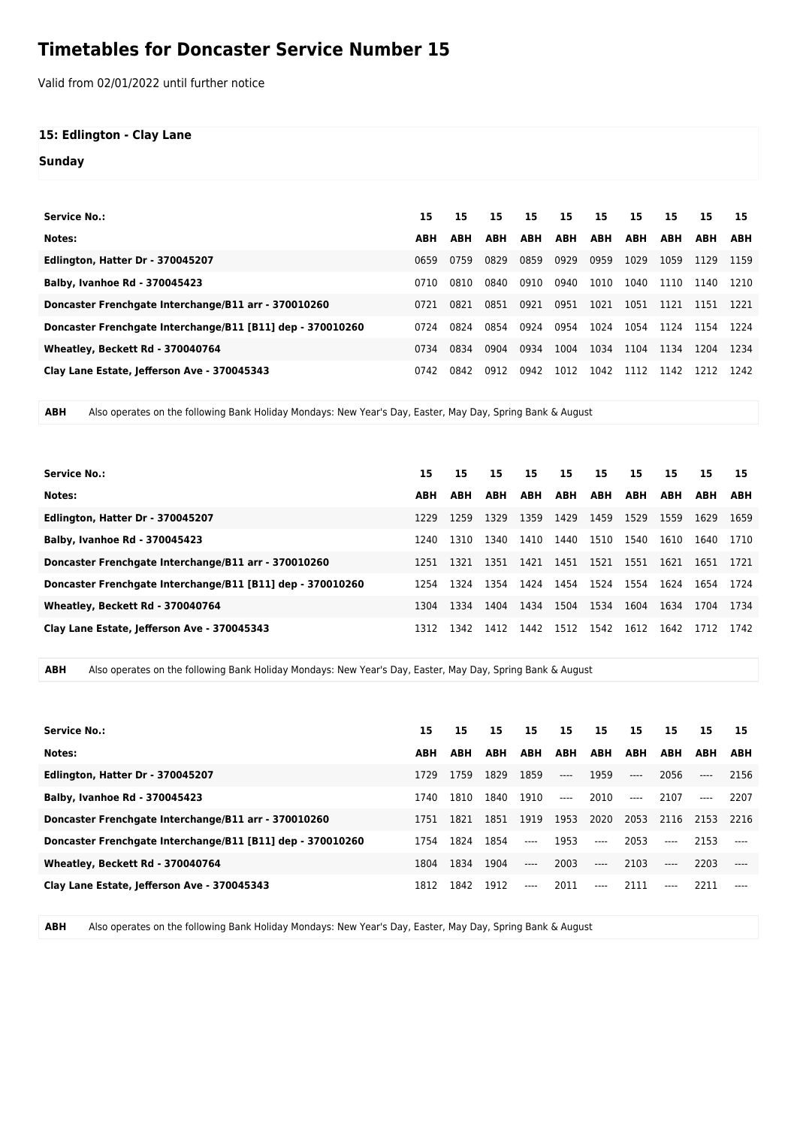## **Timetables for Doncaster Service Number 15**

Valid from 02/01/2022 until further notice

## **15: Edlington - Clay Lane**

**Sunday**

| <b>Service No.:</b>                                        | 15         | 15         | 15         | 15         | 15         | 15         | 15         | 15         | 15         | 15         |
|------------------------------------------------------------|------------|------------|------------|------------|------------|------------|------------|------------|------------|------------|
| Notes:                                                     | <b>ABH</b> | <b>ABH</b> | <b>ABH</b> | <b>ABH</b> | <b>ABH</b> | <b>ABH</b> | <b>ABH</b> | <b>ABH</b> | <b>ABH</b> | <b>ABH</b> |
| Edlington, Hatter Dr - 370045207                           | 0659       | 0759       | 0829       | 0859       | 0929       | 0959       | 1029       | 1059       | 1129       | 1159       |
| Balby, Ivanhoe Rd - 370045423                              | 0710       | 0810       | 0840       | 0910       | 0940       | 1010       | 1040       | 1110       | 1140       | 1210       |
| Doncaster Frenchgate Interchange/B11 arr - 370010260       | 0721       | 0821       | 0851       | 0921       | 0951       | 1021       | 1051       | 1121       | 1151       | 1221       |
| Doncaster Frenchgate Interchange/B11 [B11] dep - 370010260 | 0724       | 0824       | 0854       | 0924       | 0954       | 1024       | 1054       | 1124       | 1154       | 1224       |
| Wheatley, Beckett Rd - 370040764                           | 0734       | 0834       | 0904       | 0934       | 1004       | 1034       | 1104       | 1134       | 1204       | 1234       |
| Clay Lane Estate, Jefferson Ave - 370045343                | 0742       | 0842       | 0912       | 0942       | 1012       | 1042       | 1112       | 1142       | 1212       | 1242       |

**ABH** Also operates on the following Bank Holiday Mondays: New Year's Day, Easter, May Day, Spring Bank & August

|                                                            |            |            | 15         | 15         |            |            | 15         | 15.        |            |      |
|------------------------------------------------------------|------------|------------|------------|------------|------------|------------|------------|------------|------------|------|
| <b>Service No.:</b>                                        | 15         | 15         |            |            | 15         | 15         |            |            | 15         | 15   |
| Notes:                                                     | <b>ABH</b> | <b>ABH</b> | <b>ABH</b> | <b>ABH</b> | <b>ABH</b> | <b>ABH</b> | <b>ABH</b> | <b>ABH</b> | <b>ABH</b> | ABH  |
| Edlington, Hatter Dr - 370045207                           | 1229       | 1259       | 1329       | 1359       | 1429       | 1459       | 1529       | 1559       | 1629       | 1659 |
| <b>Balby, Ivanhoe Rd - 370045423</b>                       | 1240       | 1310       | 1340       | 1410       | 1440       | 1510       | 1540       | 1610       | 1640       | 1710 |
| Doncaster Frenchgate Interchange/B11 arr - 370010260       | 1251       | 1321       | 1351       | 1421       | 1451       | 1521       | 1551       | 1621       | 1651       | 1721 |
| Doncaster Frenchgate Interchange/B11 [B11] dep - 370010260 | 1254       | 1324       | 1354       | 1424       | 1454       | 1524       | 1554       | 1624       | 1654       | 1724 |
| Wheatley, Beckett Rd - 370040764                           | 1304       | 1334       | 1404       | 1434       | 1504       | 1534       | 1604       | 1634       | 1704       | 1734 |
| Clay Lane Estate, Jefferson Ave - 370045343                | 1312       | 1342       | 1412       | 1442       | 1512 1542  |            | 1612       | 1642       | 1712       | 1742 |

**ABH** Also operates on the following Bank Holiday Mondays: New Year's Day, Easter, May Day, Spring Bank & August

| Service No.:                                               | 15         | 15         | 15   | 15    | 15    | 15                       | 15    | 15    | 15.        | 15     |
|------------------------------------------------------------|------------|------------|------|-------|-------|--------------------------|-------|-------|------------|--------|
| Notes:                                                     | <b>ABH</b> | <b>ABH</b> | ABH  | ABH   | ABH   | ABH                      | ABH   | ABH   | <b>ABH</b> | ABH    |
| Edlington, Hatter Dr - 370045207                           | 1729       | 1759       | 1829 | 1859  | $---$ | 1959                     | $---$ | 2056  | $---$      | 2156   |
| <b>Balby, Ivanhoe Rd - 370045423</b>                       | 1740       | 1810       | 1840 | 1910  | $---$ | 2010                     | $---$ | 2107  | $---$      | 2207   |
| Doncaster Frenchgate Interchange/B11 arr - 370010260       | 1751       | 1821       | 1851 | 1919  | 1953  | 2020                     | 2053  |       | 2116 2153  | - 2216 |
| Doncaster Frenchgate Interchange/B11 [B11] dep - 370010260 | 1754       | 1824       | 1854 | $---$ | 1953  | $---$                    | 2053  | $---$ | 2153       |        |
| Wheatley, Beckett Rd - 370040764                           | 1804       | 1834       | 1904 | $---$ | 2003  | $\overline{\phantom{a}}$ | 2103  | $---$ | 2203       |        |
| Clay Lane Estate, Jefferson Ave - 370045343                | 1812       | 1842       | 1912 | $---$ | 2011  | $---$                    | 2111  | $---$ | 2211       |        |

**ABH** Also operates on the following Bank Holiday Mondays: New Year's Day, Easter, May Day, Spring Bank & August